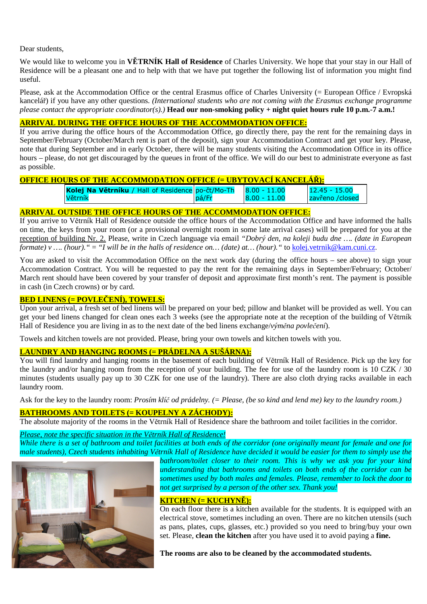Dear students,

We would like to welcome you in **VĚTRNÍK Hall of Residence** of Charles University. We hope that your stay in our Hall of Residence will be a pleasant one and to help with that we have put together the following list of information you might find useful.

Please, ask at the Accommodation Office or the central Erasmus office of Charles University (= European Office / Evropská kancelář) if you have any other questions. *(International students who are not coming with the Erasmus exchange programme please contact the appropriate coordinator(s).)* **Head our non-smoking policy + night quiet hours rule 10 p.m.-7 a.m.!**

## **ARRIVAL DURING THE OFFICE HOURS OF THE ACCOMMODATION OFFICE:**

If you arrive during the office hours of the Accommodation Office, go directly there, pay the rent for the remaining days in September/February (October/March rent is part of the deposit), sign your Accommodation Contract and get your key. Please, note that during September and in early October, there will be many students visiting the Accommodation Office in its office hours – please, do not get discouraged by the queues in front of the office. We will do our best to administrate everyone as fast as possible.

# **OFFICE HOURS OF THE ACCOMMODATION OFFICE (= UBYTOVACÍ KANCELÁŘ):**

| Kolej Na Větrníku / Hall of Residence po-čt/Mo-Th $\Big  8.00 - 11.00 \Big $ |       |                | $12.45 - 15.00$ |
|------------------------------------------------------------------------------|-------|----------------|-----------------|
| <b>Větrník</b>                                                               | pá/Fr | $8.00 - 11.00$ | zavřeno /closed |

## **ARRIVAL OUTSIDE THE OFFICE HOURS OF THE ACCOMMODATION OFFICE:**

If you arrive to Větrník Hall of Residence outside the office hours of the Accommodation Office and have informed the halls on time, the keys from your room (or a provisional overnight room in some late arrival cases) will be prepared for you at the reception of building Nr. 2. Please, write in Czech language via email *"Dobrý den, na koleji budu dne …. (date in European formate)* v .... (hour). " = "*I will be in the halls of residence on...* (date) at... (hour). " to kolej.vetrnik@kam.cuni.cz.

You are asked to visit the Accommodation Office on the next work day (during the office hours – see above) to sign your Accommodation Contract. You will be requested to pay the rent for the remaining days in September/February; October/ March rent should have been covered by your transfer of deposit and approximate first month's rent. The payment is possible in cash (in Czech crowns) or by card.

#### **BED LINENS (= POVLEČENÍ), TOWELS:**

Upon your arrival, a fresh set of bed linens will be prepared on your bed; pillow and blanket will be provided as well. You can get your bed linens changed for clean ones each 3 weeks (see the appropriate note at the reception of the building of Větrník Hall of Residence you are living in as to the next date of the bed linens exchange/*výměna povlečení*).

Towels and kitchen towels are not provided. Please, bring your own towels and kitchen towels with you.

# **LAUNDRY AND HANGING ROOMS (= PRÁDELNA A SUŠÁRNA):**

You will find laundry and hanging rooms in the basement of each building of Větrník Hall of Residence. Pick up the key for the laundry and/or hanging room from the reception of your building. The fee for use of the laundry room is 10 CZK / 30 minutes (students usually pay up to 30 CZK for one use of the laundry). There are also cloth drying racks available in each laundry room.

Ask for the key to the laundry room: *Prosím klíč od prádelny. (= Please, (be so kind and lend me) key to the laundry room.)* 

## **BATHROOMS AND TOILETS (= KOUPELNY A ZÁCHODY):**

The absolute majority of the rooms in the Větrník Hall of Residence share the bathroom and toilet facilities in the corridor.

### *Please, note the specific situation in the Větrník Hall of Residence!*

*While there is a set of bathroom and toilet facilities at both ends of the corridor (one originally meant for female and one for male students), Czech students inhabiting Větrník Hall of Residence have decided it would be easier for them to simply use the* 



*bathroom/toilet closer to their room. This is why we ask you for your kind understanding that bathrooms and toilets on both ends of the corridor can be sometimes used by both males and females. Please, remember to lock the door to not get surprised by a person of the other sex. Thank you!* 

## **KITCHEN (= KUCHYNĚ):**

On each floor there is a kitchen available for the students. It is equipped with an electrical stove, sometimes including an oven. There are no kitchen utensils (such as pans, plates, cups, glasses, etc.) provided so you need to bring/buy your own set. Please, **clean the kitchen** after you have used it to avoid paying a **fine.**

**The rooms are also to be cleaned by the accommodated students.**